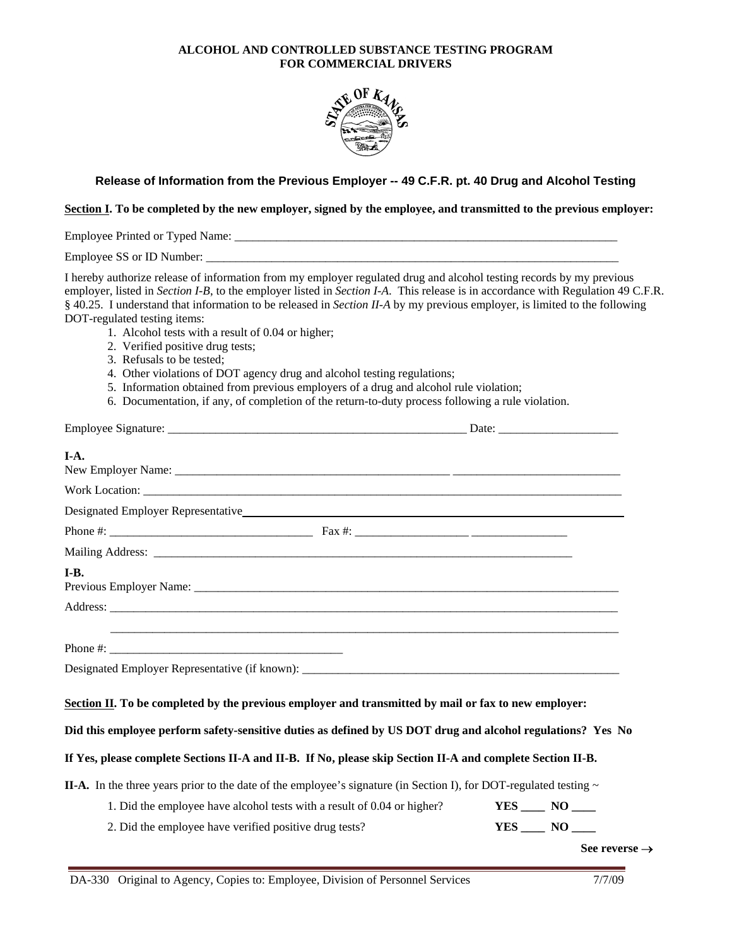## **ALCOHOL AND CONTROLLED SUBSTANCE TESTING PROGRAM FOR COMMERCIAL DRIVERS**



## **Release of Information from the Previous Employer -- 49 C.F.R. pt. 40 Drug and Alcohol Testing**

## **Section I. To be completed by the new employer, signed by the employee, and transmitted to the previous employer:**

Employee Printed or Typed Name: \_\_\_\_\_\_\_\_\_\_\_\_\_\_\_\_\_\_\_\_\_\_\_\_\_\_\_\_\_\_\_\_\_\_\_\_\_\_\_\_\_\_\_\_\_\_\_\_\_\_\_\_\_\_\_\_\_\_\_\_\_\_\_\_

Employee SS or ID Number: \_\_\_\_\_\_\_\_\_\_\_\_\_\_\_\_\_\_\_\_\_\_\_\_\_\_\_\_\_\_\_\_\_\_\_\_\_\_\_\_\_\_\_\_\_\_\_\_\_\_\_\_\_\_\_\_\_\_\_\_\_\_\_\_\_\_\_\_\_

I hereby authorize release of information from my employer regulated drug and alcohol testing records by my previous employer, listed in *Section I-B*, to the employer listed in *Section I-A*. This release is in accordance with Regulation 49 C.F.R. § 40.25. I understand that information to be released in *Section II-A* by my previous employer, is limited to the following DOT-regulated testing items:

- 1. Alcohol tests with a result of 0.04 or higher;
- 2. Verified positive drug tests;
- 3. Refusals to be tested;
- 4. Other violations of DOT agency drug and alcohol testing regulations;
- 5. Information obtained from previous employers of a drug and alcohol rule violation;
- 6. Documentation, if any, of completion of the return-to-duty process following a rule violation.

| I-A.                                                                                                                                                                                                                |  |                           |
|---------------------------------------------------------------------------------------------------------------------------------------------------------------------------------------------------------------------|--|---------------------------|
|                                                                                                                                                                                                                     |  |                           |
|                                                                                                                                                                                                                     |  |                           |
|                                                                                                                                                                                                                     |  |                           |
|                                                                                                                                                                                                                     |  |                           |
| I-B.                                                                                                                                                                                                                |  |                           |
|                                                                                                                                                                                                                     |  |                           |
|                                                                                                                                                                                                                     |  |                           |
|                                                                                                                                                                                                                     |  |                           |
| Designated Employer Representative (if known):                                                                                                                                                                      |  |                           |
| Section II. To be completed by the previous employer and transmitted by mail or fax to new employer:<br>Did this employee perform safety-sensitive duties as defined by US DOT drug and alcohol regulations? Yes No |  |                           |
| If Yes, please complete Sections II-A and II-B. If No, please skip Section II-A and complete Section II-B.                                                                                                          |  |                           |
| <b>II-A.</b> In the three years prior to the date of the employee's signature (in Section I), for DOT-regulated testing $\sim$                                                                                      |  |                           |
| 1. Did the employee have alcohol tests with a result of 0.04 or higher?                                                                                                                                             |  | $YES$ NO $\qquad$         |
| 2. Did the employee have verified positive drug tests?                                                                                                                                                              |  | $YES$ $NO$ $\qquad$       |
|                                                                                                                                                                                                                     |  | See reverse $\rightarrow$ |